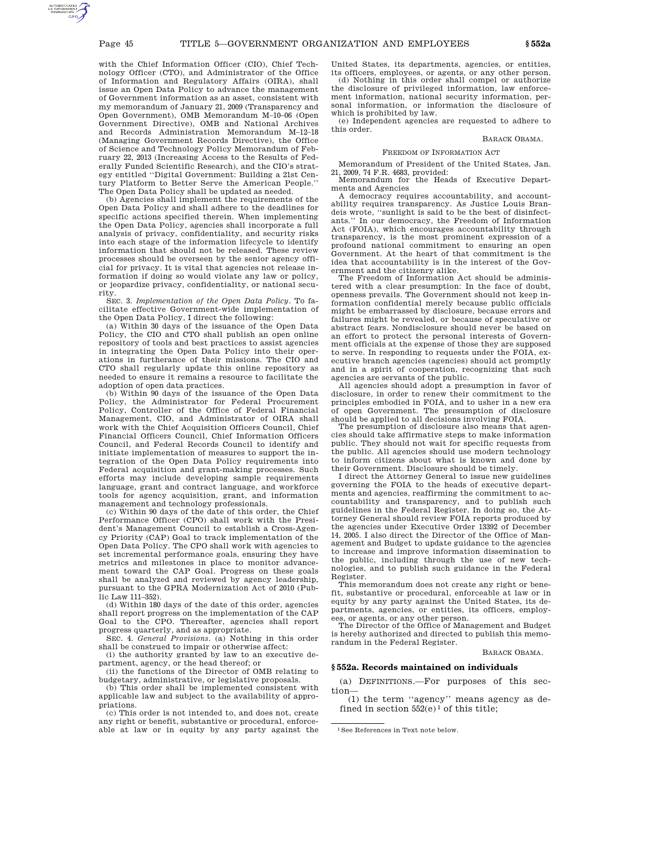with the Chief Information Officer (CIO), Chief Technology Officer (CTO), and Administrator of the Office of Information and Regulatory Affairs (OIRA), shall issue an Open Data Policy to advance the management of Government information as an asset, consistent with my memorandum of January 21, 2009 (Transparency and Open Government), OMB Memorandum M–10–06 (Open Government Directive), OMB and National Archives and Records Administration Memorandum M–12–18 (Managing Government Records Directive), the Office of Science and Technology Policy Memorandum of February 22, 2013 (Increasing Access to the Results of Federally Funded Scientific Research), and the CIO's strategy entitled ''Digital Government: Building a 21st Century Platform to Better Serve the American People.'' The Open Data Policy shall be updated as needed.

(b) Agencies shall implement the requirements of the Open Data Policy and shall adhere to the deadlines for specific actions specified therein. When implementing the Open Data Policy, agencies shall incorporate a full analysis of privacy, confidentiality, and security risks into each stage of the information lifecycle to identify information that should not be released. These review processes should be overseen by the senior agency official for privacy. It is vital that agencies not release information if doing so would violate any law or policy, or jeopardize privacy, confidentiality, or national security.

SEC. 3. *Implementation of the Open Data Policy*. To facilitate effective Government-wide implementation of the Open Data Policy, I direct the following:

(a) Within 30 days of the issuance of the Open Data Policy, the CIO and CTO shall publish an open online repository of tools and best practices to assist agencies in integrating the Open Data Policy into their operations in furtherance of their missions. The CIO and CTO shall regularly update this online repository as needed to ensure it remains a resource to facilitate the adoption of open data practices.

(b) Within 90 days of the issuance of the Open Data Policy, the Administrator for Federal Procurement Policy, Controller of the Office of Federal Financial Management, CIO, and Administrator of OIRA shall work with the Chief Acquisition Officers Council, Chief Financial Officers Council, Chief Information Officers Council, and Federal Records Council to identify and initiate implementation of measures to support the integration of the Open Data Policy requirements into Federal acquisition and grant-making processes. Such efforts may include developing sample requirements language, grant and contract language, and workforce tools for agency acquisition, grant, and information management and technology professionals.

(c) Within 90 days of the date of this order, the Chief Performance Officer (CPO) shall work with the President's Management Council to establish a Cross-Agency Priority (CAP) Goal to track implementation of the Open Data Policy. The CPO shall work with agencies to set incremental performance goals, ensuring they have metrics and milestones in place to monitor advancement toward the CAP Goal. Progress on these goals shall be analyzed and reviewed by agency leadership, pursuant to the GPRA Modernization Act of 2010 (Public Law 111–352).

(d) Within 180 days of the date of this order, agencies shall report progress on the implementation of the CAP Goal to the CPO. Thereafter, agencies shall report progress quarterly, and as appropriate.

SEC. 4. *General Provisions*. (a) Nothing in this order shall be construed to impair or otherwise affect:

(i) the authority granted by law to an executive department, agency, or the head thereof; or

(ii) the functions of the Director of OMB relating to budgetary, administrative, or legislative proposals.

(b) This order shall be implemented consistent with applicable law and subject to the availability of appropriations.

(c) This order is not intended to, and does not, create any right or benefit, substantive or procedural, enforceable at law or in equity by any party against the United States, its departments, agencies, or entities, its officers, employees, or agents, or any other person.

(d) Nothing in this order shall compel or authorize the disclosure of privileged information, law enforcement information, national security information, personal information, or information the disclosure of

which is prohibited by law. (e) Independent agencies are requested to adhere to this order.

# BARACK OBAMA. FREEDOM OF INFORMATION ACT

Memorandum of President of the United States, Jan.

21, 2009, 74 F.R. 4683, provided: Memorandum for the Heads of Executive Departments and Agencies

A democracy requires accountability, and accountability requires transparency. As Justice Louis Brandeis wrote, ''sunlight is said to be the best of disinfectants.'' In our democracy, the Freedom of Information Act (FOIA), which encourages accountability through transparency, is the most prominent expression of a profound national commitment to ensuring an open Government. At the heart of that commitment is the idea that accountability is in the interest of the Government and the citizenry alike.

The Freedom of Information Act should be administered with a clear presumption: In the face of doubt, openness prevails. The Government should not keep information confidential merely because public officials might be embarrassed by disclosure, because errors and failures might be revealed, or because of speculative or abstract fears. Nondisclosure should never be based on an effort to protect the personal interests of Government officials at the expense of those they are supposed to serve. In responding to requests under the FOIA, executive branch agencies (agencies) should act promptly and in a spirit of cooperation, recognizing that such agencies are servants of the public.

All agencies should adopt a presumption in favor of disclosure, in order to renew their commitment to the principles embodied in FOIA, and to usher in a new era of open Government. The presumption of disclosure should be applied to all decisions involving FOIA.

The presumption of disclosure also means that agencies should take affirmative steps to make information public. They should not wait for specific requests from the public. All agencies should use modern technology to inform citizens about what is known and done by their Government. Disclosure should be timely.

I direct the Attorney General to issue new guidelines governing the FOIA to the heads of executive departments and agencies, reaffirming the commitment to accountability and transparency, and to publish such guidelines in the Federal Register. In doing so, the Attorney General should review FOIA reports produced by the agencies under Executive Order 13392 of December 14, 2005. I also direct the Director of the Office of Management and Budget to update guidance to the agencies to increase and improve information dissemination to the public, including through the use of new technologies, and to publish such guidance in the Federal Register.

This memorandum does not create any right or benefit, substantive or procedural, enforceable at law or in equity by any party against the United States, its departments, agencies, or entities, its officers, employ-

ees, or agents, or any other person. The Director of the Office of Management and Budget is hereby authorized and directed to publish this memorandum in the Federal Register.

## BARACK OBAMA.

### **§ 552a. Records maintained on individuals**

(a) DEFINITIONS.—For purposes of this section—

(1) the term ''agency'' means agency as defined in section  $552(e)^1$  of this title;

<sup>1</sup>See References in Text note below.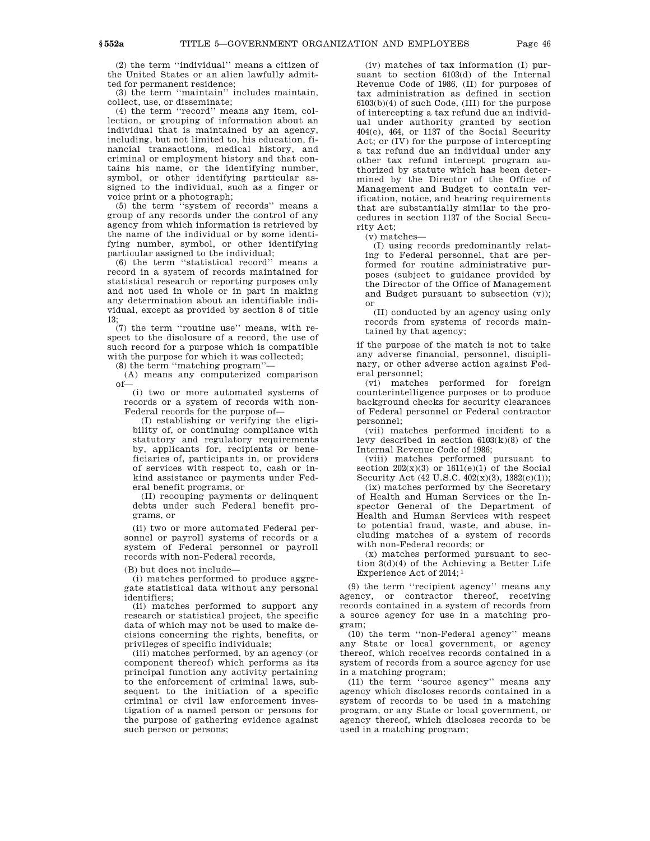(2) the term ''individual'' means a citizen of the United States or an alien lawfully admitted for permanent residence;

(3) the term ''maintain'' includes maintain, collect, use, or disseminate;

(4) the term ''record'' means any item, collection, or grouping of information about an individual that is maintained by an agency, including, but not limited to, his education, financial transactions, medical history, and criminal or employment history and that contains his name, or the identifying number, symbol, or other identifying particular assigned to the individual, such as a finger or voice print or a photograph;

(5) the term ''system of records'' means a group of any records under the control of any agency from which information is retrieved by the name of the individual or by some identifying number, symbol, or other identifying particular assigned to the individual;

(6) the term ''statistical record'' means a record in a system of records maintained for statistical research or reporting purposes only and not used in whole or in part in making any determination about an identifiable individual, except as provided by section 8 of title 13;

(7) the term ''routine use'' means, with respect to the disclosure of a record, the use of such record for a purpose which is compatible with the purpose for which it was collected;

 $(8)$  the term "matching program"

(A) means any computerized comparison of—

(i) two or more automated systems of records or a system of records with non-Federal records for the purpose of—

(I) establishing or verifying the eligibility of, or continuing compliance with statutory and regulatory requirements by, applicants for, recipients or beneficiaries of, participants in, or providers of services with respect to, cash or inkind assistance or payments under Federal benefit programs, or

(II) recouping payments or delinquent debts under such Federal benefit programs, or

(ii) two or more automated Federal personnel or payroll systems of records or a system of Federal personnel or payroll records with non-Federal records,

(B) but does not include—

(i) matches performed to produce aggregate statistical data without any personal identifiers;

(ii) matches performed to support any research or statistical project, the specific data of which may not be used to make decisions concerning the rights, benefits, or privileges of specific individuals;

(iii) matches performed, by an agency (or component thereof) which performs as its principal function any activity pertaining to the enforcement of criminal laws, subsequent to the initiation of a specific criminal or civil law enforcement investigation of a named person or persons for the purpose of gathering evidence against such person or persons;

(iv) matches of tax information (I) pursuant to section 6103(d) of the Internal Revenue Code of 1986, (II) for purposes of tax administration as defined in section 6103(b)(4) of such Code, (III) for the purpose of intercepting a tax refund due an individual under authority granted by section 404(e), 464, or 1137 of the Social Security Act; or (IV) for the purpose of intercepting a tax refund due an individual under any other tax refund intercept program authorized by statute which has been determined by the Director of the Office of Management and Budget to contain verification, notice, and hearing requirements that are substantially similar to the procedures in section 1137 of the Social Security Act;

(v) matches—

(I) using records predominantly relating to Federal personnel, that are performed for routine administrative purposes (subject to guidance provided by the Director of the Office of Management and Budget pursuant to subsection (v)); or

(II) conducted by an agency using only records from systems of records maintained by that agency;

if the purpose of the match is not to take any adverse financial, personnel, disciplinary, or other adverse action against Federal personnel;

(vi) matches performed for foreign counterintelligence purposes or to produce background checks for security clearances of Federal personnel or Federal contractor personnel;

(vii) matches performed incident to a levy described in section  $6103(k)(8)$  of the Internal Revenue Code of 1986;

(viii) matches performed pursuant to section  $202(x)(3)$  or  $1611(e)(1)$  of the Social Security Act (42 U.S.C. 402(x)(3), 1382(e)(1));

(ix) matches performed by the Secretary of Health and Human Services or the Inspector General of the Department of Health and Human Services with respect to potential fraud, waste, and abuse, including matches of a system of records with non-Federal records; or

(x) matches performed pursuant to section 3(d)(4) of the Achieving a Better Life Experience Act of 2014; 1

(9) the term ''recipient agency'' means any agency, or contractor thereof, receiving records contained in a system of records from a source agency for use in a matching program;

(10) the term ''non-Federal agency'' means any State or local government, or agency thereof, which receives records contained in a system of records from a source agency for use in a matching program;

(11) the term ''source agency'' means any agency which discloses records contained in a system of records to be used in a matching program, or any State or local government, or agency thereof, which discloses records to be used in a matching program;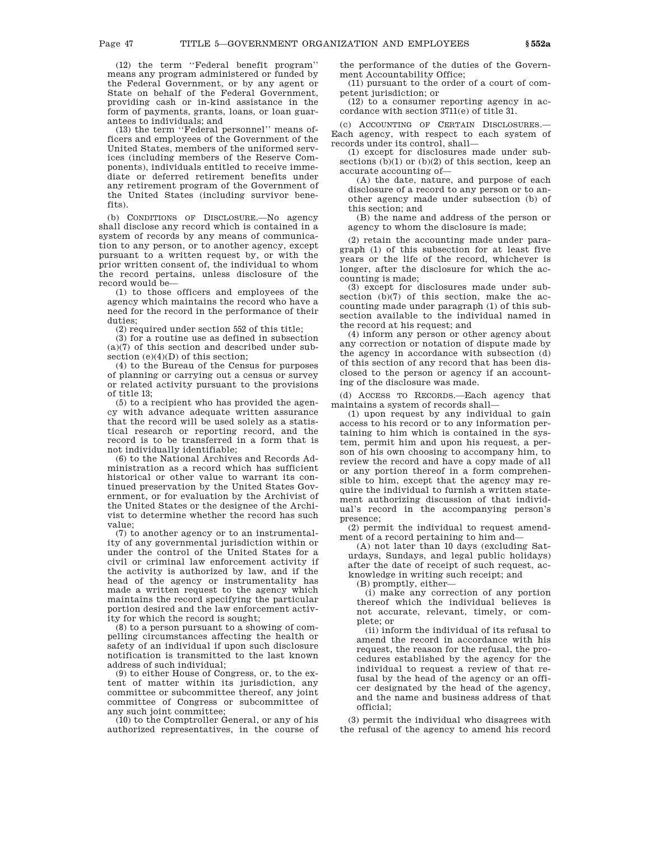(12) the term ''Federal benefit program'' means any program administered or funded by the Federal Government, or by any agent or State on behalf of the Federal Government, providing cash or in-kind assistance in the form of payments, grants, loans, or loan guarantees to individuals; and

(13) the term ''Federal personnel'' means officers and employees of the Government of the United States, members of the uniformed services (including members of the Reserve Components), individuals entitled to receive immediate or deferred retirement benefits under any retirement program of the Government of the United States (including survivor benefits).

(b) CONDITIONS OF DISCLOSURE.—No agency shall disclose any record which is contained in a system of records by any means of communication to any person, or to another agency, except pursuant to a written request by, or with the prior written consent of, the individual to whom the record pertains, unless disclosure of the record would be—

(1) to those officers and employees of the agency which maintains the record who have a need for the record in the performance of their duties;

(2) required under section 552 of this title;

(3) for a routine use as defined in subsection (a)(7) of this section and described under subsection  $(e)(4)(D)$  of this section:

(4) to the Bureau of the Census for purposes of planning or carrying out a census or survey or related activity pursuant to the provisions of title 13;

(5) to a recipient who has provided the agency with advance adequate written assurance that the record will be used solely as a statistical research or reporting record, and the record is to be transferred in a form that is not individually identifiable;

(6) to the National Archives and Records Administration as a record which has sufficient historical or other value to warrant its continued preservation by the United States Government, or for evaluation by the Archivist of the United States or the designee of the Archivist to determine whether the record has such value;

(7) to another agency or to an instrumentality of any governmental jurisdiction within or under the control of the United States for a civil or criminal law enforcement activity if the activity is authorized by law, and if the head of the agency or instrumentality has made a written request to the agency which maintains the record specifying the particular portion desired and the law enforcement activity for which the record is sought;

(8) to a person pursuant to a showing of compelling circumstances affecting the health or safety of an individual if upon such disclosure notification is transmitted to the last known address of such individual;

(9) to either House of Congress, or, to the extent of matter within its jurisdiction, any committee or subcommittee thereof, any joint committee of Congress or subcommittee of any such joint committee;

(10) to the Comptroller General, or any of his authorized representatives, in the course of

the performance of the duties of the Government Accountability Office;

(11) pursuant to the order of a court of competent jurisdiction; or

(12) to a consumer reporting agency in accordance with section 3711(e) of title 31.

(c) ACCOUNTING OF CERTAIN DISCLOSURES.— Each agency, with respect to each system of records under its control, shall—

(1) except for disclosures made under subsections  $(b)(1)$  or  $(b)(2)$  of this section, keep an accurate accounting of—

(A) the date, nature, and purpose of each disclosure of a record to any person or to another agency made under subsection (b) of this section; and

(B) the name and address of the person or agency to whom the disclosure is made;

(2) retain the accounting made under paragraph (1) of this subsection for at least five years or the life of the record, whichever is longer, after the disclosure for which the accounting is made;

(3) except for disclosures made under subsection (b)(7) of this section, make the accounting made under paragraph (1) of this subsection available to the individual named in the record at his request; and

(4) inform any person or other agency about any correction or notation of dispute made by the agency in accordance with subsection (d) of this section of any record that has been disclosed to the person or agency if an accounting of the disclosure was made.

(d) ACCESS TO RECORDS.—Each agency that maintains a system of records shall—

(1) upon request by any individual to gain access to his record or to any information pertaining to him which is contained in the system, permit him and upon his request, a person of his own choosing to accompany him, to review the record and have a copy made of all or any portion thereof in a form comprehensible to him, except that the agency may require the individual to furnish a written statement authorizing discussion of that individual's record in the accompanying person's presence;

(2) permit the individual to request amendment of a record pertaining to him and—

(A) not later than 10 days (excluding Saturdays, Sundays, and legal public holidays) after the date of receipt of such request, acknowledge in writing such receipt; and

(B) promptly, either—

(i) make any correction of any portion thereof which the individual believes is not accurate, relevant, timely, or complete; or

(ii) inform the individual of its refusal to amend the record in accordance with his request, the reason for the refusal, the procedures established by the agency for the individual to request a review of that refusal by the head of the agency or an officer designated by the head of the agency, and the name and business address of that official;

(3) permit the individual who disagrees with the refusal of the agency to amend his record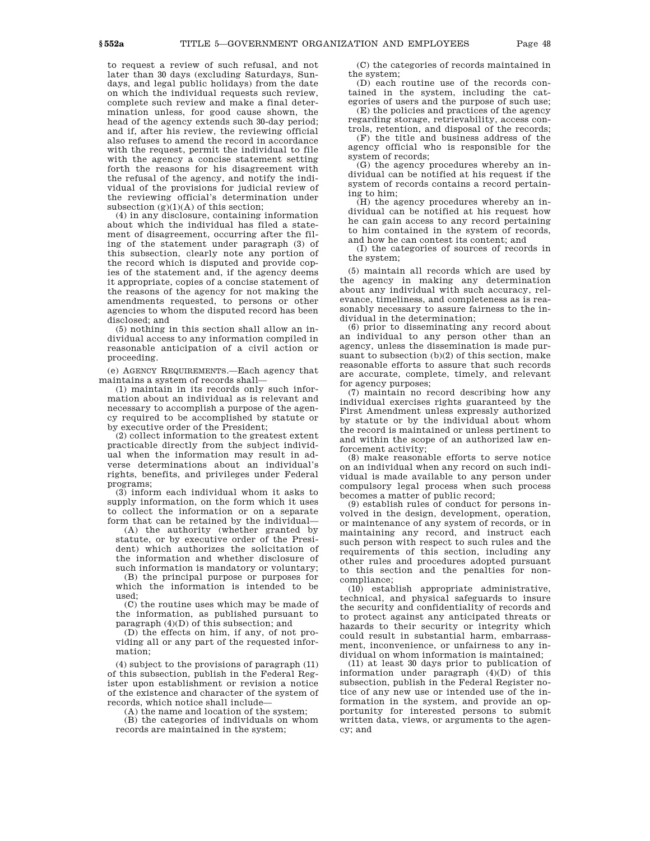to request a review of such refusal, and not later than 30 days (excluding Saturdays, Sundays, and legal public holidays) from the date on which the individual requests such review, complete such review and make a final determination unless, for good cause shown, the head of the agency extends such 30-day period; and if, after his review, the reviewing official also refuses to amend the record in accordance with the request, permit the individual to file with the agency a concise statement setting forth the reasons for his disagreement with the refusal of the agency, and notify the individual of the provisions for judicial review of the reviewing official's determination under subsection  $(g)(1)(A)$  of this section;

(4) in any disclosure, containing information about which the individual has filed a statement of disagreement, occurring after the filing of the statement under paragraph (3) of this subsection, clearly note any portion of the record which is disputed and provide copies of the statement and, if the agency deems it appropriate, copies of a concise statement of the reasons of the agency for not making the amendments requested, to persons or other agencies to whom the disputed record has been disclosed; and

(5) nothing in this section shall allow an individual access to any information compiled in reasonable anticipation of a civil action or proceeding.

(e) AGENCY REQUIREMENTS.—Each agency that maintains a system of records shall—

(1) maintain in its records only such information about an individual as is relevant and necessary to accomplish a purpose of the agency required to be accomplished by statute or by executive order of the President;

(2) collect information to the greatest extent practicable directly from the subject individual when the information may result in adverse determinations about an individual's rights, benefits, and privileges under Federal programs;

(3) inform each individual whom it asks to supply information, on the form which it uses to collect the information or on a separate form that can be retained by the individual—

(A) the authority (whether granted by statute, or by executive order of the President) which authorizes the solicitation of the information and whether disclosure of such information is mandatory or voluntary;

(B) the principal purpose or purposes for which the information is intended to be used;

(C) the routine uses which may be made of the information, as published pursuant to paragraph (4)(D) of this subsection; and

(D) the effects on him, if any, of not providing all or any part of the requested information;

(4) subject to the provisions of paragraph (11) of this subsection, publish in the Federal Register upon establishment or revision a notice of the existence and character of the system of records, which notice shall include—

(A) the name and location of the system;

(B) the categories of individuals on whom records are maintained in the system;

(C) the categories of records maintained in the system;

(D) each routine use of the records contained in the system, including the categories of users and the purpose of such use;

(E) the policies and practices of the agency regarding storage, retrievability, access controls, retention, and disposal of the records;

(F) the title and business address of the agency official who is responsible for the system of records;

(G) the agency procedures whereby an individual can be notified at his request if the system of records contains a record pertaining to him;

(H) the agency procedures whereby an individual can be notified at his request how he can gain access to any record pertaining to him contained in the system of records, and how he can contest its content; and

(I) the categories of sources of records in the system;

(5) maintain all records which are used by the agency in making any determination about any individual with such accuracy, relevance, timeliness, and completeness as is reasonably necessary to assure fairness to the individual in the determination;

(6) prior to disseminating any record about an individual to any person other than an agency, unless the dissemination is made pursuant to subsection (b)(2) of this section, make reasonable efforts to assure that such records are accurate, complete, timely, and relevant for agency purposes;

(7) maintain no record describing how any individual exercises rights guaranteed by the First Amendment unless expressly authorized by statute or by the individual about whom the record is maintained or unless pertinent to and within the scope of an authorized law enforcement activity;

(8) make reasonable efforts to serve notice on an individual when any record on such individual is made available to any person under compulsory legal process when such process becomes a matter of public record;

(9) establish rules of conduct for persons involved in the design, development, operation, or maintenance of any system of records, or in maintaining any record, and instruct each such person with respect to such rules and the requirements of this section, including any other rules and procedures adopted pursuant to this section and the penalties for noncompliance;

(10) establish appropriate administrative, technical, and physical safeguards to insure the security and confidentiality of records and to protect against any anticipated threats or hazards to their security or integrity which could result in substantial harm, embarrassment, inconvenience, or unfairness to any individual on whom information is maintained;

(11) at least 30 days prior to publication of information under paragraph  $(4)(D)$  of this subsection, publish in the Federal Register notice of any new use or intended use of the information in the system, and provide an opportunity for interested persons to submit written data, views, or arguments to the agency; and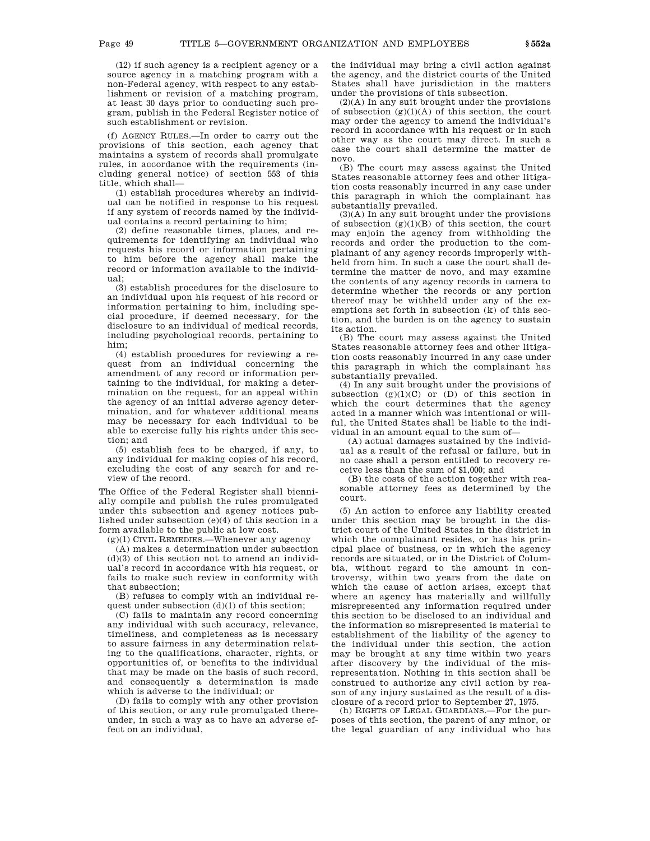(12) if such agency is a recipient agency or a source agency in a matching program with a non-Federal agency, with respect to any establishment or revision of a matching program, at least 30 days prior to conducting such program, publish in the Federal Register notice of such establishment or revision.

(f) AGENCY RULES.—In order to carry out the provisions of this section, each agency that maintains a system of records shall promulgate rules, in accordance with the requirements (including general notice) of section 553 of this title, which shall—

(1) establish procedures whereby an individual can be notified in response to his request if any system of records named by the individual contains a record pertaining to him;

(2) define reasonable times, places, and requirements for identifying an individual who requests his record or information pertaining to him before the agency shall make the record or information available to the individ- $\text{ual}^{\dagger}$ 

(3) establish procedures for the disclosure to an individual upon his request of his record or information pertaining to him, including special procedure, if deemed necessary, for the disclosure to an individual of medical records, including psychological records, pertaining to him;

(4) establish procedures for reviewing a request from an individual concerning the amendment of any record or information pertaining to the individual, for making a determination on the request, for an appeal within the agency of an initial adverse agency determination, and for whatever additional means may be necessary for each individual to be able to exercise fully his rights under this section; and

(5) establish fees to be charged, if any, to any individual for making copies of his record, excluding the cost of any search for and review of the record.

The Office of the Federal Register shall biennially compile and publish the rules promulgated under this subsection and agency notices published under subsection (e)(4) of this section in a form available to the public at low cost.

 $(g)(1)$  CIVIL REMEDIES.—Whenever any agency

(A) makes a determination under subsection  $(d)(3)$  of this section not to amend an individual's record in accordance with his request, or fails to make such review in conformity with that subsection;

(B) refuses to comply with an individual request under subsection  $(d)(1)$  of this section;

(C) fails to maintain any record concerning any individual with such accuracy, relevance, timeliness, and completeness as is necessary to assure fairness in any determination relating to the qualifications, character, rights, or opportunities of, or benefits to the individual that may be made on the basis of such record, and consequently a determination is made which is adverse to the individual; or

(D) fails to comply with any other provision of this section, or any rule promulgated thereunder, in such a way as to have an adverse effect on an individual,

the individual may bring a civil action against the agency, and the district courts of the United States shall have jurisdiction in the matters under the provisions of this subsection.

(2)(A) In any suit brought under the provisions of subsection  $(g)(1)(A)$  of this section, the court may order the agency to amend the individual's record in accordance with his request or in such other way as the court may direct. In such a case the court shall determine the matter de novo.

(B) The court may assess against the United States reasonable attorney fees and other litigation costs reasonably incurred in any case under this paragraph in which the complainant has substantially prevailed.

(3)(A) In any suit brought under the provisions of subsection  $(g)(1)(B)$  of this section, the court may enjoin the agency from withholding the records and order the production to the complainant of any agency records improperly withheld from him. In such a case the court shall determine the matter de novo, and may examine the contents of any agency records in camera to determine whether the records or any portion thereof may be withheld under any of the exemptions set forth in subsection (k) of this section, and the burden is on the agency to sustain its action.

(B) The court may assess against the United States reasonable attorney fees and other litigation costs reasonably incurred in any case under this paragraph in which the complainant has substantially prevailed.

(4) In any suit brought under the provisions of subsection  $(g)(1)(C)$  or  $(D)$  of this section in which the court determines that the agency acted in a manner which was intentional or willful, the United States shall be liable to the individual in an amount equal to the sum of—

(A) actual damages sustained by the individual as a result of the refusal or failure, but in no case shall a person entitled to recovery receive less than the sum of \$1,000; and

(B) the costs of the action together with reasonable attorney fees as determined by the court.

(5) An action to enforce any liability created under this section may be brought in the district court of the United States in the district in which the complainant resides, or has his principal place of business, or in which the agency records are situated, or in the District of Columbia, without regard to the amount in controversy, within two years from the date on which the cause of action arises, except that where an agency has materially and willfully misrepresented any information required under this section to be disclosed to an individual and the information so misrepresented is material to establishment of the liability of the agency to the individual under this section, the action may be brought at any time within two years after discovery by the individual of the misrepresentation. Nothing in this section shall be construed to authorize any civil action by reason of any injury sustained as the result of a disclosure of a record prior to September 27, 1975.

(h) RIGHTS OF LEGAL GUARDIANS.—For the purposes of this section, the parent of any minor, or the legal guardian of any individual who has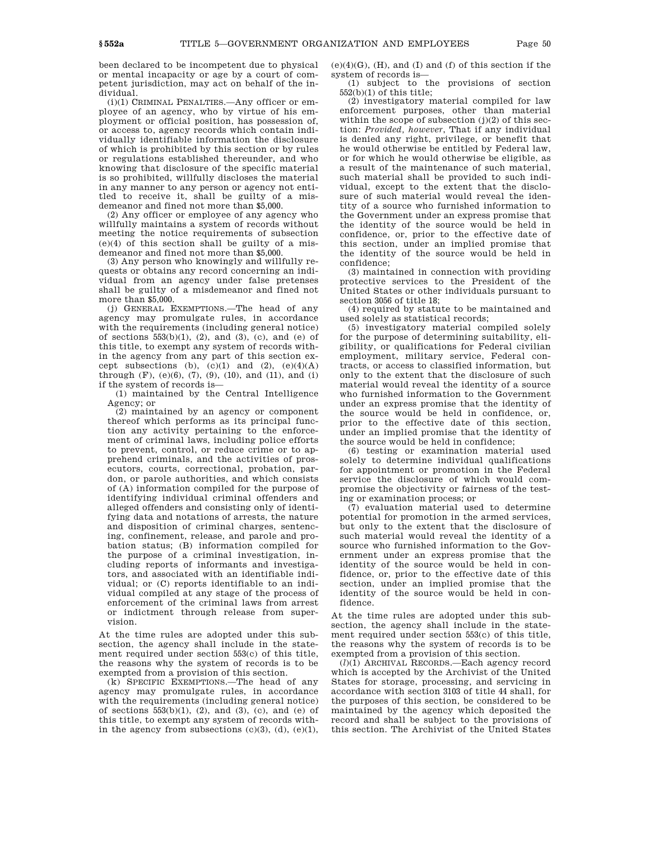been declared to be incompetent due to physical or mental incapacity or age by a court of competent jurisdiction, may act on behalf of the individual.

(i)(1) CRIMINAL PENALTIES.—Any officer or employee of an agency, who by virtue of his employment or official position, has possession of, or access to, agency records which contain individually identifiable information the disclosure of which is prohibited by this section or by rules or regulations established thereunder, and who knowing that disclosure of the specific material is so prohibited, willfully discloses the material in any manner to any person or agency not entitled to receive it, shall be guilty of a misdemeanor and fined not more than \$5,000.

(2) Any officer or employee of any agency who willfully maintains a system of records without meeting the notice requirements of subsection  $(e)(4)$  of this section shall be guilty of a misdemeanor and fined not more than \$5,000.

(3) Any person who knowingly and willfully requests or obtains any record concerning an individual from an agency under false pretenses shall be guilty of a misdemeanor and fined not more than \$5,000.

(j) GENERAL EXEMPTIONS.—The head of any agency may promulgate rules, in accordance with the requirements (including general notice) of sections  $553(b)(1)$ ,  $(2)$ , and  $(3)$ ,  $(c)$ , and  $(e)$  of this title, to exempt any system of records within the agency from any part of this section except subsections (b),  $(c)(1)$  and  $(2)$ ,  $(e)(4)(A)$ through  $(F)$ ,  $(e)(6)$ ,  $(7)$ ,  $(9)$ ,  $(10)$ , and  $(11)$ , and  $(i)$ if the system of records is—

(1) maintained by the Central Intelligence Agency; or

(2) maintained by an agency or component thereof which performs as its principal function any activity pertaining to the enforcement of criminal laws, including police efforts to prevent, control, or reduce crime or to apprehend criminals, and the activities of prosecutors, courts, correctional, probation, pardon, or parole authorities, and which consists of (A) information compiled for the purpose of identifying individual criminal offenders and alleged offenders and consisting only of identifying data and notations of arrests, the nature and disposition of criminal charges, sentencing, confinement, release, and parole and probation status; (B) information compiled for the purpose of a criminal investigation, including reports of informants and investigators, and associated with an identifiable individual; or (C) reports identifiable to an individual compiled at any stage of the process of enforcement of the criminal laws from arrest or indictment through release from supervision.

At the time rules are adopted under this subsection, the agency shall include in the statement required under section 553(c) of this title, the reasons why the system of records is to be exempted from a provision of this section.

(k) SPECIFIC EXEMPTIONS.—The head of any agency may promulgate rules, in accordance with the requirements (including general notice) of sections  $553(b)(1)$ ,  $(2)$ , and  $(3)$ ,  $(c)$ , and  $(e)$  of this title, to exempt any system of records within the agency from subsections  $(c)(3)$ ,  $(d)$ ,  $(e)(1)$ ,

 $(e)(4)(G)$ ,  $(H)$ , and  $(I)$  and  $(f)$  of this section if the system of records is—

(1) subject to the provisions of section  $552(b)(1)$  of this title;

(2) investigatory material compiled for law enforcement purposes, other than material within the scope of subsection  $(j)(2)$  of this section: *Provided, however*, That if any individual is denied any right, privilege, or benefit that he would otherwise be entitled by Federal law, or for which he would otherwise be eligible, as a result of the maintenance of such material, such material shall be provided to such individual, except to the extent that the disclosure of such material would reveal the identity of a source who furnished information to the Government under an express promise that the identity of the source would be held in confidence, or, prior to the effective date of this section, under an implied promise that the identity of the source would be held in confidence;

(3) maintained in connection with providing protective services to the President of the United States or other individuals pursuant to section 3056 of title 18;

(4) required by statute to be maintained and used solely as statistical records;

(5) investigatory material compiled solely for the purpose of determining suitability, eligibility, or qualifications for Federal civilian employment, military service, Federal contracts, or access to classified information, but only to the extent that the disclosure of such material would reveal the identity of a source who furnished information to the Government under an express promise that the identity of the source would be held in confidence, or, prior to the effective date of this section, under an implied promise that the identity of the source would be held in confidence;

(6) testing or examination material used solely to determine individual qualifications for appointment or promotion in the Federal service the disclosure of which would compromise the objectivity or fairness of the testing or examination process; or

(7) evaluation material used to determine potential for promotion in the armed services, but only to the extent that the disclosure of such material would reveal the identity of a source who furnished information to the Government under an express promise that the identity of the source would be held in confidence, or, prior to the effective date of this section, under an implied promise that the identity of the source would be held in confidence.

At the time rules are adopted under this subsection, the agency shall include in the statement required under section 553(c) of this title, the reasons why the system of records is to be exempted from a provision of this section.

(*l*)(1) ARCHIVAL RECORDS.—Each agency record which is accepted by the Archivist of the United States for storage, processing, and servicing in accordance with section 3103 of title 44 shall, for the purposes of this section, be considered to be maintained by the agency which deposited the record and shall be subject to the provisions of this section. The Archivist of the United States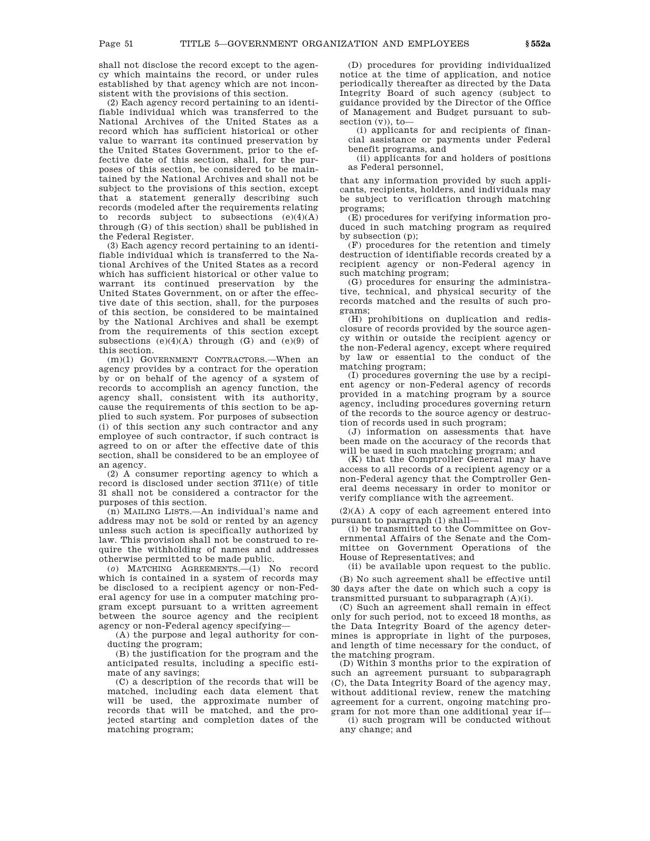shall not disclose the record except to the agency which maintains the record, or under rules established by that agency which are not inconsistent with the provisions of this section.

(2) Each agency record pertaining to an identifiable individual which was transferred to the National Archives of the United States as a record which has sufficient historical or other value to warrant its continued preservation by the United States Government, prior to the effective date of this section, shall, for the purposes of this section, be considered to be maintained by the National Archives and shall not be subject to the provisions of this section, except that a statement generally describing such records (modeled after the requirements relating to records subject to subsections  $(e)(4)(A)$ through (G) of this section) shall be published in the Federal Register.

(3) Each agency record pertaining to an identifiable individual which is transferred to the National Archives of the United States as a record which has sufficient historical or other value to warrant its continued preservation by the United States Government, on or after the effective date of this section, shall, for the purposes of this section, be considered to be maintained by the National Archives and shall be exempt from the requirements of this section except subsections  $(e)(4)(A)$  through  $(G)$  and  $(e)(9)$  of this section.

(m)(1) GOVERNMENT CONTRACTORS.—When an agency provides by a contract for the operation by or on behalf of the agency of a system of records to accomplish an agency function, the agency shall, consistent with its authority, cause the requirements of this section to be applied to such system. For purposes of subsection (i) of this section any such contractor and any employee of such contractor, if such contract is agreed to on or after the effective date of this section, shall be considered to be an employee of an agency.

(2) A consumer reporting agency to which a record is disclosed under section 3711(e) of title 31 shall not be considered a contractor for the purposes of this section.

(n) MAILING LISTS.—An individual's name and address may not be sold or rented by an agency unless such action is specifically authorized by law. This provision shall not be construed to require the withholding of names and addresses otherwise permitted to be made public.

(*o*) MATCHING AGREEMENTS.—(1) No record which is contained in a system of records may be disclosed to a recipient agency or non-Federal agency for use in a computer matching program except pursuant to a written agreement between the source agency and the recipient agency or non-Federal agency specifying—

(A) the purpose and legal authority for conducting the program;

(B) the justification for the program and the anticipated results, including a specific estimate of any savings;

(C) a description of the records that will be matched, including each data element that will be used, the approximate number of records that will be matched, and the projected starting and completion dates of the matching program;

(D) procedures for providing individualized notice at the time of application, and notice periodically thereafter as directed by the Data Integrity Board of such agency (subject to guidance provided by the Director of the Office of Management and Budget pursuant to subsection  $(v)$ ), to-

(i) applicants for and recipients of financial assistance or payments under Federal benefit programs, and

(ii) applicants for and holders of positions as Federal personnel,

that any information provided by such applicants, recipients, holders, and individuals may be subject to verification through matching programs;

(E) procedures for verifying information produced in such matching program as required by subsection (p);

(F) procedures for the retention and timely destruction of identifiable records created by a recipient agency or non-Federal agency in such matching program;

(G) procedures for ensuring the administrative, technical, and physical security of the records matched and the results of such programs;

(H) prohibitions on duplication and redisclosure of records provided by the source agency within or outside the recipient agency or the non-Federal agency, except where required by law or essential to the conduct of the matching program;

(I) procedures governing the use by a recipient agency or non-Federal agency of records provided in a matching program by a source agency, including procedures governing return of the records to the source agency or destruction of records used in such program;

(J) information on assessments that have been made on the accuracy of the records that will be used in such matching program; and

(K) that the Comptroller General may have access to all records of a recipient agency or a non-Federal agency that the Comptroller General deems necessary in order to monitor or verify compliance with the agreement.

(2)(A) A copy of each agreement entered into pursuant to paragraph (1) shall—

(i) be transmitted to the Committee on Governmental Affairs of the Senate and the Committee on Government Operations of the House of Representatives; and

(ii) be available upon request to the public.

(B) No such agreement shall be effective until 30 days after the date on which such a copy is transmitted pursuant to subparagraph (A)(i).

(C) Such an agreement shall remain in effect only for such period, not to exceed 18 months, as the Data Integrity Board of the agency determines is appropriate in light of the purposes, and length of time necessary for the conduct, of the matching program.

(D) Within 3 months prior to the expiration of such an agreement pursuant to subparagraph (C), the Data Integrity Board of the agency may, without additional review, renew the matching agreement for a current, ongoing matching program for not more than one additional year if—

(i) such program will be conducted without any change; and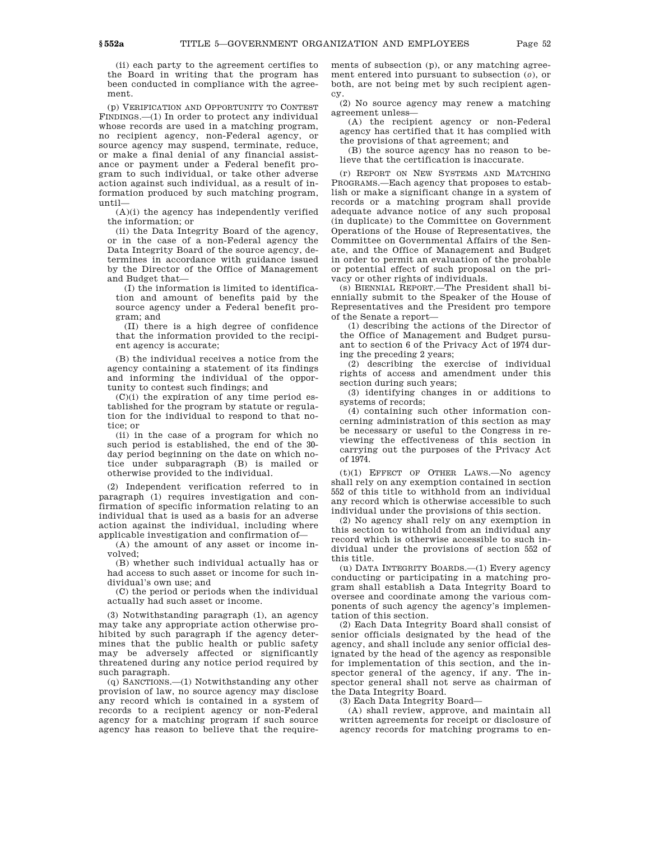(ii) each party to the agreement certifies to the Board in writing that the program has been conducted in compliance with the agreement.

(p) VERIFICATION AND OPPORTUNITY TO CONTEST FINDINGS.—(1) In order to protect any individual whose records are used in a matching program, no recipient agency, non-Federal agency, or source agency may suspend, terminate, reduce, or make a final denial of any financial assistance or payment under a Federal benefit program to such individual, or take other adverse action against such individual, as a result of information produced by such matching program, until—

(A)(i) the agency has independently verified the information; or

(ii) the Data Integrity Board of the agency, or in the case of a non-Federal agency the Data Integrity Board of the source agency, determines in accordance with guidance issued by the Director of the Office of Management and Budget that—

(I) the information is limited to identification and amount of benefits paid by the source agency under a Federal benefit program; and

(II) there is a high degree of confidence that the information provided to the recipient agency is accurate;

(B) the individual receives a notice from the agency containing a statement of its findings and informing the individual of the opportunity to contest such findings; and

(C)(i) the expiration of any time period established for the program by statute or regulation for the individual to respond to that notice; or

(ii) in the case of a program for which no such period is established, the end of the 30 day period beginning on the date on which notice under subparagraph (B) is mailed or otherwise provided to the individual.

(2) Independent verification referred to in paragraph (1) requires investigation and confirmation of specific information relating to an individual that is used as a basis for an adverse action against the individual, including where applicable investigation and confirmation of—

(A) the amount of any asset or income involved;

(B) whether such individual actually has or had access to such asset or income for such individual's own use; and

(C) the period or periods when the individual actually had such asset or income.

(3) Notwithstanding paragraph (1), an agency may take any appropriate action otherwise prohibited by such paragraph if the agency determines that the public health or public safety may be adversely affected or significantly threatened during any notice period required by such paragraph.

(q) SANCTIONS.—(1) Notwithstanding any other provision of law, no source agency may disclose any record which is contained in a system of records to a recipient agency or non-Federal agency for a matching program if such source agency has reason to believe that the requirements of subsection (p), or any matching agreement entered into pursuant to subsection (*o*), or both, are not being met by such recipient agency.

(2) No source agency may renew a matching agreement unless—

(A) the recipient agency or non-Federal agency has certified that it has complied with the provisions of that agreement; and

(B) the source agency has no reason to believe that the certification is inaccurate.

(r) REPORT ON NEW SYSTEMS AND MATCHING PROGRAMS.—Each agency that proposes to establish or make a significant change in a system of records or a matching program shall provide adequate advance notice of any such proposal (in duplicate) to the Committee on Government Operations of the House of Representatives, the Committee on Governmental Affairs of the Senate, and the Office of Management and Budget in order to permit an evaluation of the probable or potential effect of such proposal on the privacy or other rights of individuals.

(s) BIENNIAL REPORT.—The President shall biennially submit to the Speaker of the House of Representatives and the President pro tempore of the Senate a report—

(1) describing the actions of the Director of the Office of Management and Budget pursuant to section 6 of the Privacy Act of 1974 during the preceding 2 years;

(2) describing the exercise of individual rights of access and amendment under this section during such years;

(3) identifying changes in or additions to systems of records;

(4) containing such other information concerning administration of this section as may be necessary or useful to the Congress in reviewing the effectiveness of this section in carrying out the purposes of the Privacy Act of 1974.

(t)(1) EFFECT OF OTHER LAWS.—No agency shall rely on any exemption contained in section 552 of this title to withhold from an individual any record which is otherwise accessible to such individual under the provisions of this section.

(2) No agency shall rely on any exemption in this section to withhold from an individual any record which is otherwise accessible to such individual under the provisions of section 552 of this title.

(u) DATA INTEGRITY BOARDS.—(1) Every agency conducting or participating in a matching program shall establish a Data Integrity Board to oversee and coordinate among the various components of such agency the agency's implementation of this section.

(2) Each Data Integrity Board shall consist of senior officials designated by the head of the agency, and shall include any senior official designated by the head of the agency as responsible for implementation of this section, and the inspector general of the agency, if any. The inspector general shall not serve as chairman of the Data Integrity Board.

(3) Each Data Integrity Board—

(A) shall review, approve, and maintain all written agreements for receipt or disclosure of agency records for matching programs to en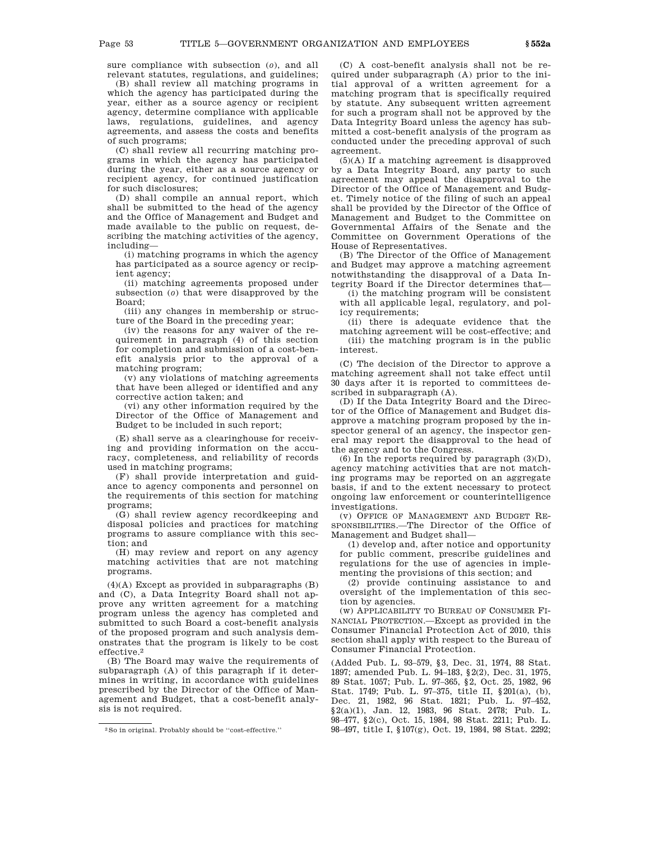sure compliance with subsection (*o*), and all relevant statutes, regulations, and guidelines;

(B) shall review all matching programs in which the agency has participated during the year, either as a source agency or recipient agency, determine compliance with applicable laws, regulations, guidelines, and agency agreements, and assess the costs and benefits of such programs;

(C) shall review all recurring matching programs in which the agency has participated during the year, either as a source agency or recipient agency, for continued justification for such disclosures;

(D) shall compile an annual report, which shall be submitted to the head of the agency and the Office of Management and Budget and made available to the public on request, describing the matching activities of the agency, including—

(i) matching programs in which the agency has participated as a source agency or recipient agency;

(ii) matching agreements proposed under subsection (*o*) that were disapproved by the Board;

(iii) any changes in membership or structure of the Board in the preceding year;

(iv) the reasons for any waiver of the requirement in paragraph (4) of this section for completion and submission of a cost-benefit analysis prior to the approval of a matching program;

(v) any violations of matching agreements that have been alleged or identified and any corrective action taken; and

(vi) any other information required by the Director of the Office of Management and Budget to be included in such report;

(E) shall serve as a clearinghouse for receiving and providing information on the accuracy, completeness, and reliability of records used in matching programs;

(F) shall provide interpretation and guidance to agency components and personnel on the requirements of this section for matching programs;

(G) shall review agency recordkeeping and disposal policies and practices for matching programs to assure compliance with this section; and

(H) may review and report on any agency matching activities that are not matching programs.

(4)(A) Except as provided in subparagraphs (B) and (C), a Data Integrity Board shall not approve any written agreement for a matching program unless the agency has completed and submitted to such Board a cost-benefit analysis of the proposed program and such analysis demonstrates that the program is likely to be cost effective.2

(B) The Board may waive the requirements of subparagraph (A) of this paragraph if it determines in writing, in accordance with guidelines prescribed by the Director of the Office of Management and Budget, that a cost-benefit analysis is not required.

(C) A cost-benefit analysis shall not be required under subparagraph (A) prior to the initial approval of a written agreement for a matching program that is specifically required by statute. Any subsequent written agreement for such a program shall not be approved by the Data Integrity Board unless the agency has submitted a cost-benefit analysis of the program as conducted under the preceding approval of such agreement.

(5)(A) If a matching agreement is disapproved by a Data Integrity Board, any party to such agreement may appeal the disapproval to the Director of the Office of Management and Budget. Timely notice of the filing of such an appeal shall be provided by the Director of the Office of Management and Budget to the Committee on Governmental Affairs of the Senate and the Committee on Government Operations of the House of Representatives.

(B) The Director of the Office of Management and Budget may approve a matching agreement notwithstanding the disapproval of a Data Integrity Board if the Director determines that—

(i) the matching program will be consistent with all applicable legal, regulatory, and policy requirements;

(ii) there is adequate evidence that the matching agreement will be cost-effective; and (iii) the matching program is in the public interest.

(C) The decision of the Director to approve a matching agreement shall not take effect until 30 days after it is reported to committees described in subparagraph (A).

(D) If the Data Integrity Board and the Director of the Office of Management and Budget disapprove a matching program proposed by the inspector general of an agency, the inspector general may report the disapproval to the head of the agency and to the Congress.

 $(6)$  In the reports required by paragraph  $(3)(D)$ , agency matching activities that are not matching programs may be reported on an aggregate basis, if and to the extent necessary to protect ongoing law enforcement or counterintelligence investigations.

(v) OFFICE OF MANAGEMENT AND BUDGET RE-SPONSIBILITIES.—The Director of the Office of Management and Budget shall—

(1) develop and, after notice and opportunity for public comment, prescribe guidelines and regulations for the use of agencies in implementing the provisions of this section; and

(2) provide continuing assistance to and oversight of the implementation of this section by agencies.

(w) APPLICABILITY TO BUREAU OF CONSUMER FI-NANCIAL PROTECTION.—Except as provided in the Consumer Financial Protection Act of 2010, this section shall apply with respect to the Bureau of Consumer Financial Protection.

(Added Pub. L. 93–579, §3, Dec. 31, 1974, 88 Stat. 1897; amended Pub. L. 94–183, §2(2), Dec. 31, 1975, 89 Stat. 1057; Pub. L. 97–365, §2, Oct. 25, 1982, 96 Stat. 1749; Pub. L. 97–375, title II, §201(a), (b), Dec. 21, 1982, 96 Stat. 1821; Pub. L. 97–452, §2(a)(1), Jan. 12, 1983, 96 Stat. 2478; Pub. L. 98–477, §2(c), Oct. 15, 1984, 98 Stat. 2211; Pub. L. 98–497, title I, §107(g), Oct. 19, 1984, 98 Stat. 2292;

<sup>2</sup>So in original. Probably should be ''cost-effective.''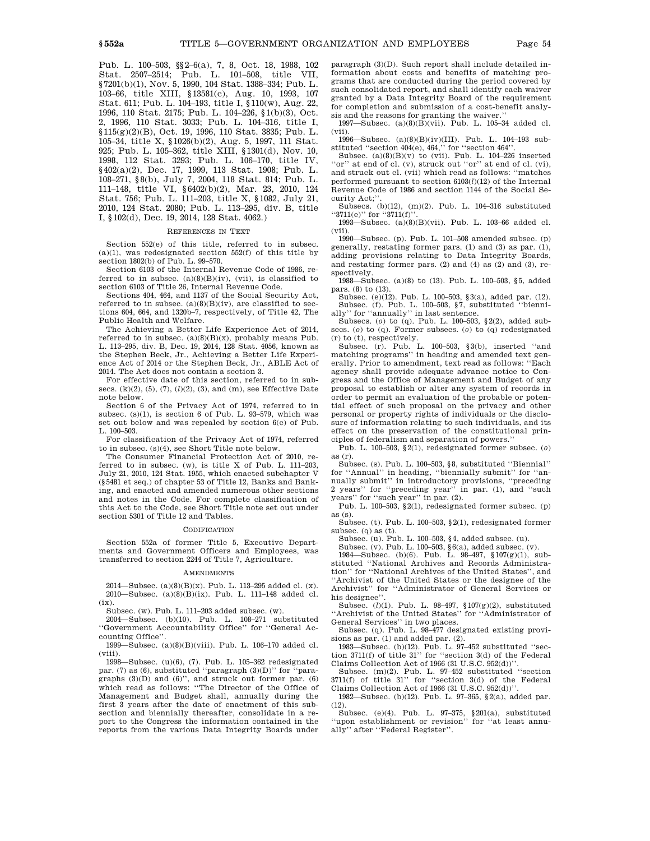Pub. L. 100–503, §§2–6(a), 7, 8, Oct. 18, 1988, 102 Stat. 2507–2514; Pub. L. 101–508, title VII, §7201(b)(1), Nov. 5, 1990, 104 Stat. 1388-334; Pub. L. 103–66, title XIII, §13581(c), Aug. 10, 1993, 107 Stat. 611; Pub. L. 104–193, title I, §110(w), Aug. 22, 1996, 110 Stat. 2175; Pub. L. 104–226, §1(b)(3), Oct. 2, 1996, 110 Stat. 3033; Pub. L. 104–316, title I, §115(g)(2)(B), Oct. 19, 1996, 110 Stat. 3835; Pub. L. 105–34, title X, §1026(b)(2), Aug. 5, 1997, 111 Stat.

925; Pub. L. 105–362, title XIII, §1301(d), Nov. 10, 1998, 112 Stat. 3293; Pub. L. 106–170, title IV, §402(a)(2), Dec. 17, 1999, 113 Stat. 1908; Pub. L. 108–271, §8(b), July 7, 2004, 118 Stat. 814; Pub. L. 111–148, title VI, §6402(b)(2), Mar. 23, 2010, 124 Stat. 756; Pub. L. 111–203, title X, §1082, July 21, 2010, 124 Stat. 2080; Pub. L. 113–295, div. B, title I, §102(d), Dec. 19, 2014, 128 Stat. 4062.)

#### REFERENCES IN TEXT

Section 552(e) of this title, referred to in subsec.  $(a)(1)$ , was redesignated section  $552(f)$  of this title by section 1802(b) of Pub. L. 99–570.

Section 6103 of the Internal Revenue Code of 1986, referred to in subsec.  $(a)(8)(B)(iv)$ , (vii), is classified to section 6103 of Title 26, Internal Revenue Code.

Sections 404, 464, and 1137 of the Social Security Act, referred to in subsec.  $(a)(8)(B)(iv)$ , are classified to sections 604, 664, and 1320b–7, respectively, of Title 42, The Public Health and Welfare.

The Achieving a Better Life Experience Act of 2014, referred to in subsec.  $(a)(8)(B)(x)$ , probably means Pub. L. 113–295, div. B, Dec. 19, 2014, 128 Stat. 4056, known as the Stephen Beck, Jr., Achieving a Better Life Experience Act of 2014 or the Stephen Beck, Jr., ABLE Act of 2014. The Act does not contain a section 3.

For effective date of this section, referred to in subsecs. (k)(2), (5), (7), (*l*)(2), (3), and (m), see Effective Date note below.

Section 6 of the Privacy Act of 1974, referred to in subsec. (s)(1), is section 6 of Pub. L. 93–579, which was set out below and was repealed by section 6(c) of Pub. L. 100–503.

For classification of the Privacy Act of 1974, referred to in subsec. (s)(4), see Short Title note below.

The Consumer Financial Protection Act of 2010, referred to in subsec. (w), is title X of Pub. L. 111–203, July 21, 2010, 124 Stat. 1955, which enacted subchapter V (§5481 et seq.) of chapter 53 of Title 12, Banks and Banking, and enacted and amended numerous other sections and notes in the Code. For complete classification of this Act to the Code, see Short Title note set out under section 5301 of Title 12 and Tables.

#### **CODIFICATION**

Section 552a of former Title 5, Executive Departments and Government Officers and Employees, was transferred to section 2244 of Title 7, Agriculture.

#### AMENDMENTS

2014—Subsec. (a)(8)(B)(x). Pub. L. 113–295 added cl. (x). 2010—Subsec. (a)(8)(B)(ix). Pub. L. 111–148 added cl.  $(ix)$ .

Subsec. (w). Pub. L. 111–203 added subsec. (w).

2004—Subsec. (b)(10). Pub. L. 108–271 substituted ''Government Accountability Office'' for ''General Accounting Office''.

1999—Subsec. (a)(8)(B)(viii). Pub. L. 106–170 added cl. (viii).

1998—Subsec. (u)(6), (7). Pub. L. 105–362 redesignated par. (7) as (6), substituted "paragraph  $(3)(D)$ " for "paragraphs  $(3)(D)$  and  $(6)$ ", and struck out former par.  $(6)$ which read as follows: ''The Director of the Office of Management and Budget shall, annually during the first 3 years after the date of enactment of this subsection and biennially thereafter, consolidate in a report to the Congress the information contained in the reports from the various Data Integrity Boards under paragraph (3)(D). Such report shall include detailed information about costs and benefits of matching programs that are conducted during the period covered by such consolidated report, and shall identify each waiver granted by a Data Integrity Board of the requirement for completion and submission of a cost-benefit analysis and the reasons for granting the waiver.''

1997—Subsec.  $(a)(8)(\overrightarrow{B})(vii)$ . Pub. L. 105-34 added cl. (vii).

1996—Subsec. (a)(8)(B)(iv)(III). Pub. L. 104–193 substituted "section 404(e), 464," for "section 464"

Subsec.  $(a)(8)(B)(v)$  to (vii). Pub. L. 104–226 inserted ''or'' at end of cl. (v), struck out ''or'' at end of cl. (vi), and struck out cl. (vii) which read as follows: ''matches performed pursuant to section 6103(*l*)(12) of the Internal Revenue Code of 1986 and section 1144 of the Social Security Act;"

Subsecs. (b)(12), (m)(2). Pub. L. 104–316 substituted "3711(e)" for "3711(f)"

1993—Subsec. (a)(8)(B)(vii). Pub. L. 103–66 added cl. (vii).

1990—Subsec. (p). Pub. L. 101–508 amended subsec. (p) generally, restating former pars. (1) and (3) as par. (1), adding provisions relating to Data Integrity Boards, and restating former pars. (2) and (4) as (2) and (3), respectively.

1988—Subsec. (a)(8) to (13). Pub. L. 100–503, §5, added pars. (8) to (13).

Subsec. (e)(12). Pub. L. 100–503, §3(a), added par. (12). Subsec. (f). Pub. L. 100–503, §7, substituted ''biennially'' for ''annually'' in last sentence.

Subsecs. (*o*) to (q). Pub. L. 100–503, §2(2), added subsecs. (*o*) to (q). Former subsecs. (*o*) to (q) redesignated (r) to (t), respectively.

Subsec. (r). Pub. L. 100–503, §3(b), inserted ''and matching programs'' in heading and amended text generally. Prior to amendment, text read as follows: ''Each agency shall provide adequate advance notice to Congress and the Office of Management and Budget of any proposal to establish or alter any system of records in order to permit an evaluation of the probable or potential effect of such proposal on the privacy and other personal or property rights of individuals or the disclosure of information relating to such individuals, and its effect on the preservation of the constitutional principles of federalism and separation of powers.''

Pub. L. 100–503, §2(1), redesignated former subsec. (*o*) as (r).

Subsec. (s). Pub. L. 100–503, §8, substituted ''Biennial'' for ''Annual'' in heading, ''biennially submit'' for ''annually submit'' in introductory provisions, ''preceding 2 years'' for ''preceding year'' in par. (1), and ''such years'' for ''such year'' in par. (2).

Pub. L. 100–503, §2(1), redesignated former subsec. (p) as (s).

Subsec. (t). Pub. L. 100–503, §2(1), redesignated former subsec. (q) as (t).

Subsec. (u). Pub. L. 100–503, §4, added subsec. (u).

Subsec. (v). Pub. L. 100–503, §6(a), added subsec. (v).

1984—Subsec. (b)(6). Pub. L. 98–497, §107(g)(1), sub-

stituted ''National Archives and Records Administration'' for ''National Archives of the United States'', and ''Archivist of the United States or the designee of the Archivist'' for ''Administrator of General Services or his designee''.

Subsec. (*l*)(1). Pub. L. 98–497, §107(g)(2), substituted ''Archivist of the United States'' for ''Administrator of General Services'' in two places.

Subsec. (q). Pub. L. 98–477 designated existing provisions as par. (1) and added par. (2).

1983—Subsec. (b)(12). Pub. L. 97–452 substituted ''section 3711(f) of title 31'' for ''section 3(d) of the Federal Claims Collection Act of 1966 $(31$  U.S.C.  $952(\mathrm{d}))$  ''.

Subsec. (m)(2). Pub. L. 97–452 substituted ''section 3711(f) of title 31'' for ''section 3(d) of the Federal Claims Collection Act of 1966 (31 U.S.C. 952(d))''.

1982—Subsec. (b)(12). Pub. L. 97–365, §2(a), added par. (12).

Subsec. (e)(4). Pub. L. 97–375, §201(a), substituted ''upon establishment or revision'' for ''at least annually'' after ''Federal Register''.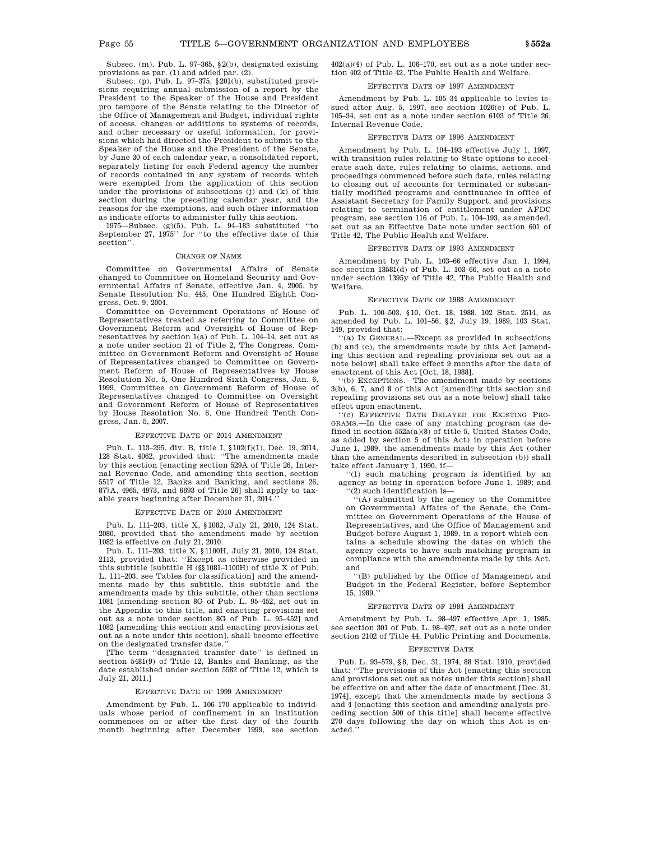Subsec. (m). Pub. L. 97–365, §2(b), designated existing provisions as par. (1) and added par. (2).

Subsec. (p). Pub. L. 97–375, §201(b), substituted provisions requiring annual submission of a report by the President to the Speaker of the House and President pro tempore of the Senate relating to the Director of the Office of Management and Budget, individual rights of access, changes or additions to systems of records, and other necessary or useful information, for provisions which had directed the President to submit to the Speaker of the House and the President of the Senate, by June 30 of each calendar year, a consolidated report, separately listing for each Federal agency the number of records contained in any system of records which were exempted from the application of this section under the provisions of subsections (i) and  $(k)$  of this section during the preceding calendar year, and the reasons for the exemptions, and such other information as indicate efforts to administer fully this section.

1975—Subsec. (g)(5). Pub. L. 94–183 substituted ''to September 27, 1975'' for ''to the effective date of this section''.

### CHANGE OF NAME

Committee on Governmental Affairs of Senate changed to Committee on Homeland Security and Governmental Affairs of Senate, effective Jan. 4, 2005, by Senate Resolution No. 445, One Hundred Eighth Congress, Oct. 9, 2004.

Committee on Government Operations of House of Representatives treated as referring to Committee on Government Reform and Oversight of House of Representatives by section 1(a) of Pub. L. 104–14, set out as a note under section 21 of Title 2, The Congress. Committee on Government Reform and Oversight of House of Representatives changed to Committee on Government Reform of House of Representatives by House Resolution No. 5, One Hundred Sixth Congress, Jan. 6, 1999. Committee on Government Reform of House of Representatives changed to Committee on Oversight and Government Reform of House of Representatives by House Resolution No. 6, One Hundred Tenth Congress, Jan. 5, 2007.

### EFFECTIVE DATE OF 2014 AMENDMENT

Pub. L. 113–295, div. B, title I, §102(f)(1), Dec. 19, 2014, 128 Stat. 4062, provided that: ''The amendments made by this section [enacting section 529A of Title 26, Internal Revenue Code, and amending this section, section 5517 of Title 12, Banks and Banking, and sections 26, 877A, 4965, 4973, and 6693 of Title 26] shall apply to taxable years beginning after December 31, 2014.''

## EFFECTIVE DATE OF 2010 AMENDMENT

Pub. L. 111–203, title X, §1082, July 21, 2010, 124 Stat. 2080, provided that the amendment made by section 1082 is effective on July 21, 2010.

Pub. L. 111–203, title X, §1100H, July 21, 2010, 124 Stat. 2113, provided that: ''Except as otherwise provided in this subtitle [subtitle H (§§1081–1100H) of title X of Pub. L. 111–203, see Tables for classification] and the amendments made by this subtitle, this subtitle and the amendments made by this subtitle, other than sections 1081 [amending section 8G of Pub. L. 95–452, set out in the Appendix to this title, and enacting provisions set out as a note under section 8G of Pub. L. 95–452] and 1082 [amending this section and enacting provisions set out as a note under this section], shall become effective on the designated transfer date.

[The term ''designated transfer date'' is defined in section 5481(9) of Title 12, Banks and Banking, as the date established under section 5582 of Title 12, which is July 21, 2011.]

#### EFFECTIVE DATE OF 1999 AMENDMENT

Amendment by Pub. L. 106–170 applicable to individuals whose period of confinement in an institution commences on or after the first day of the fourth month beginning after December 1999, see section  $402(a)(4)$  of Pub. L. 106–170, set out as a note under section 402 of Title 42, The Public Health and Welfare.

## EFFECTIVE DATE OF 1997 AMENDMENT

Amendment by Pub. L. 105–34 applicable to levies issued after Aug. 5, 1997, see section 1026(c) of Pub. L. 105–34, set out as a note under section 6103 of Title 26, Internal Revenue Code.

## EFFECTIVE DATE OF 1996 AMENDMENT

Amendment by Pub. L. 104–193 effective July 1, 1997, with transition rules relating to State options to accelerate such date, rules relating to claims, actions, and proceedings commenced before such date, rules relating to closing out of accounts for terminated or substantially modified programs and continuance in office of Assistant Secretary for Family Support, and provisions relating to termination of entitlement under AFDC program, see section 116 of Pub. L. 104–193, as amended, set out as an Effective Date note under section 601 of Title 42, The Public Health and Welfare.

#### EFFECTIVE DATE OF 1993 AMENDMENT

Amendment by Pub. L. 103–66 effective Jan. 1, 1994, see section 13581(d) of Pub. L. 103–66, set out as a note under section 1395y of Title 42, The Public Health and Welfare.

#### EFFECTIVE DATE OF 1988 AMENDMENT

Pub. L. 100–503, §10, Oct. 18, 1988, 102 Stat. 2514, as amended by Pub. L. 101–56, §2, July 19, 1989, 103 Stat. 149, provided that:

''(a) IN GENERAL.—Except as provided in subsections (b) and (c), the amendments made by this Act [amending this section and repealing provisions set out as a note below] shall take effect 9 months after the date of enactment of this Act [Oct. 18, 1988].

''(b) EXCEPTIONS.—The amendment made by sections 3(b), 6, 7, and 8 of this Act [amending this section and repealing provisions set out as a note below] shall take effect upon enactment.

''(c) EFFECTIVE DATE DELAYED FOR EXISTING PRO-GRAMS.—In the case of any matching program (as defined in section 552a(a)(8) of title 5, United States Code, as added by section 5 of this Act) in operation before June 1, 1989, the amendments made by this Act (other than the amendments described in subsection (b)) shall take effect January 1, 1990, if—

''(1) such matching program is identified by an agency as being in operation before June 1, 1989; and ''(2) such identification is—

''(A) submitted by the agency to the Committee on Governmental Affairs of the Senate, the Committee on Government Operations of the House of Representatives, and the Office of Management and Budget before August 1, 1989, in a report which contains a schedule showing the dates on which the agency expects to have such matching program in compliance with the amendments made by this Act, and

''(B) published by the Office of Management and Budget in the Federal Register, before September 15, 1989.''

#### EFFECTIVE DATE OF 1984 AMENDMENT

Amendment by Pub. L. 98–497 effective Apr. 1, 1985, see section 301 of Pub. L. 98–497, set out as a note under section 2102 of Title 44, Public Printing and Documents.

### EFFECTIVE DATE

Pub. L. 93–579, §8, Dec. 31, 1974, 88 Stat. 1910, provided that: ''The provisions of this Act [enacting this section and provisions set out as notes under this section] shall be effective on and after the date of enactment [Dec. 31, 1974], except that the amendments made by sections 3 and 4 [enacting this section and amending analysis preceding section 500 of this title] shall become effective 270 days following the day on which this Act is enacted.''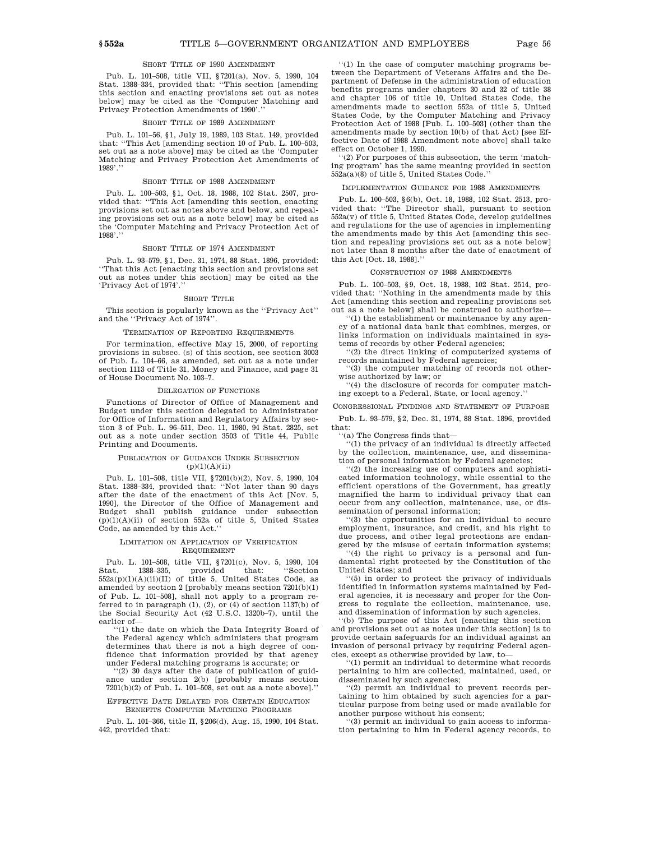## SHORT TITLE OF 1990 AMENDMENT

Pub. L. 101–508, title VII, §7201(a), Nov. 5, 1990, 104 Stat. 1388–334, provided that: ''This section [amending this section and enacting provisions set out as notes below] may be cited as the 'Computer Matching and Privacy Protection Amendments of 1990'.''

#### SHORT TITLE OF 1989 AMENDMENT

Pub. L. 101–56, §1, July 19, 1989, 103 Stat. 149, provided that: ''This Act [amending section 10 of Pub. L. 100–503, set out as a note above] may be cited as the 'Computer Matching and Privacy Protection Act Amendments of 1989'.''

### SHORT TITLE OF 1988 AMENDMENT

Pub. L. 100–503, §1, Oct. 18, 1988, 102 Stat. 2507, provided that: ''This Act [amending this section, enacting provisions set out as notes above and below, and repealing provisions set out as a note below] may be cited as the 'Computer Matching and Privacy Protection Act of 1988'.''

### SHORT TITLE OF 1974 AMENDMENT

Pub. L. 93–579, §1, Dec. 31, 1974, 88 Stat. 1896, provided: ''That this Act [enacting this section and provisions set out as notes under this section] may be cited as the 'Privacy Act of 1974'.''

#### SHORT TITLE

This section is popularly known as the ''Privacy Act'' and the ''Privacy Act of 1974''.

#### TERMINATION OF REPORTING REQUIREMENTS

For termination, effective May 15, 2000, of reporting provisions in subsec. (s) of this section, see section 3003 of Pub. L. 104–66, as amended, set out as a note under section 1113 of Title 31, Money and Finance, and page 31 of House Document No. 103–7.

#### DELEGATION OF FUNCTIONS

Functions of Director of Office of Management and Budget under this section delegated to Administrator for Office of Information and Regulatory Affairs by section 3 of Pub. L. 96–511, Dec. 11, 1980, 94 Stat. 2825, set out as a note under section 3503 of Title 44, Public Printing and Documents.

## PUBLICATION OF GUIDANCE UNDER SUBSECTION  $(p)(1)(A)(ii)$

Pub. L. 101–508, title VII, §7201(b)(2), Nov. 5, 1990, 104 Stat. 1388–334, provided that: ''Not later than 90 days after the date of the enactment of this Act [Nov. 5, 1990], the Director of the Office of Management and Budget shall publish guidance under subsection  $(p)(1)(A)(ii)$  of section 552a of title 5, United States Code, as amended by this Act.''

### LIMITATION ON APPLICATION OF VERIFICATION REQUIREMENT

Pub. L. 101–508, title VII, §7201(c), Nov. 5, 1990, 104 Stat. 1388–335, provided that: ''Section 552a(p)(1)(A)(ii)(II) of title 5, United States Code, as amended by section 2 [probably means section 7201(b)(1) of Pub. L. 101–508], shall not apply to a program referred to in paragraph (1), (2), or (4) of section 1137(b) of the Social Security Act (42 U.S.C. 1320b–7), until the earlier of—

''(1) the date on which the Data Integrity Board of the Federal agency which administers that program determines that there is not a high degree of confidence that information provided by that agency under Federal matching programs is accurate; or

''(2) 30 days after the date of publication of guidance under section 2(b) [probably means section 7201(b)(2) of Pub. L. 101–508, set out as a note above].''

### EFFECTIVE DATE DELAYED FOR CERTAIN EDUCATION BENEFITS COMPUTER MATCHING PROGRAMS

Pub. L. 101–366, title II, §206(d), Aug. 15, 1990, 104 Stat. 442, provided that:

''(1) In the case of computer matching programs between the Department of Veterans Affairs and the Department of Defense in the administration of education benefits programs under chapters 30 and 32 of title 38 and chapter 106 of title 10, United States Code, the amendments made to section 552a of title 5, United States Code, by the Computer Matching and Privacy Protection Act of 1988 [Pub. L. 100–503] (other than the amendments made by section 10(b) of that Act) [see Effective Date of 1988 Amendment note above] shall take effect on October 1, 1990.

 $(2)$  For purposes of this subsection, the term 'matching program' has the same meaning provided in section 552a(a)(8) of title 5, United States Code.''

#### IMPLEMENTATION GUIDANCE FOR 1988 AMENDMENTS

Pub. L. 100–503, §6(b), Oct. 18, 1988, 102 Stat. 2513, provided that: ''The Director shall, pursuant to section 552a(v) of title 5, United States Code, develop guidelines and regulations for the use of agencies in implementing the amendments made by this Act [amending this section and repealing provisions set out as a note below] not later than 8 months after the date of enactment of this Act [Oct. 18, 1988].''

#### CONSTRUCTION OF 1988 AMENDMENTS

Pub. L. 100–503, §9, Oct. 18, 1988, 102 Stat. 2514, provided that: ''Nothing in the amendments made by this Act [amending this section and repealing provisions set out as a note below] shall be construed to authorize—

''(1) the establishment or maintenance by any agency of a national data bank that combines, merges, or links information on individuals maintained in systems of records by other Federal agencies;

''(2) the direct linking of computerized systems of records maintained by Federal agencies;

''(3) the computer matching of records not otherwise authorized by law; or

''(4) the disclosure of records for computer matching except to a Federal, State, or local agency.

CONGRESSIONAL FINDINGS AND STATEMENT OF PURPOSE

Pub. L. 93–579, §2, Dec. 31, 1974, 88 Stat. 1896, provided that:

''(a) The Congress finds that—

''(1) the privacy of an individual is directly affected by the collection, maintenance, use, and dissemination of personal information by Federal agencies;

''(2) the increasing use of computers and sophisticated information technology, while essential to the efficient operations of the Government, has greatly magnified the harm to individual privacy that can occur from any collection, maintenance, use, or dissemination of personal information;

''(3) the opportunities for an individual to secure employment, insurance, and credit, and his right to due process, and other legal protections are endangered by the misuse of certain information systems;

''(4) the right to privacy is a personal and fundamental right protected by the Constitution of the United States; and

''(5) in order to protect the privacy of individuals identified in information systems maintained by Federal agencies, it is necessary and proper for the Congress to regulate the collection, maintenance, use, and dissemination of information by such agencies.

''(b) The purpose of this Act [enacting this section and provisions set out as notes under this section] is to provide certain safeguards for an individual against an invasion of personal privacy by requiring Federal agencies, except as otherwise provided by law, to—

'(1) permit an individual to determine what records pertaining to him are collected, maintained, used, or disseminated by such agencies;

''(2) permit an individual to prevent records pertaining to him obtained by such agencies for a particular purpose from being used or made available for another purpose without his consent;

''(3) permit an individual to gain access to information pertaining to him in Federal agency records, to